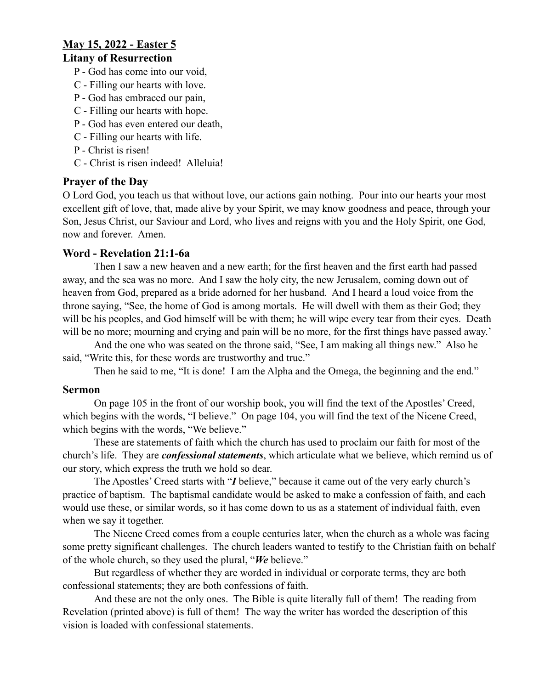# **May 15, 2022 - Easter 5**

### **Litany of Resurrection**

- P God has come into our void,
- C Filling our hearts with love.
- P God has embraced our pain,
- C Filling our hearts with hope.
- P God has even entered our death,
- C Filling our hearts with life.
- P Christ is risen!
- C Christ is risen indeed! Alleluia!

# **Prayer of the Day**

O Lord God, you teach us that without love, our actions gain nothing. Pour into our hearts your most excellent gift of love, that, made alive by your Spirit, we may know goodness and peace, through your Son, Jesus Christ, our Saviour and Lord, who lives and reigns with you and the Holy Spirit, one God, now and forever. Amen.

# **Word - Revelation 21:1-6a**

Then I saw a new heaven and a new earth; for the first heaven and the first earth had passed away, and the sea was no more. And I saw the holy city, the new Jerusalem, coming down out of heaven from God, prepared as a bride adorned for her husband. And I heard a loud voice from the throne saying, "See, the home of God is among mortals. He will dwell with them as their God; they will be his peoples, and God himself will be with them; he will wipe every tear from their eyes. Death will be no more; mourning and crying and pain will be no more, for the first things have passed away.'

And the one who was seated on the throne said, "See, I am making all things new." Also he said, "Write this, for these words are trustworthy and true."

Then he said to me, "It is done! I am the Alpha and the Omega, the beginning and the end."

#### **Sermon**

On page 105 in the front of our worship book, you will find the text of the Apostles' Creed, which begins with the words, "I believe." On page 104, you will find the text of the Nicene Creed, which begins with the words, "We believe."

These are statements of faith which the church has used to proclaim our faith for most of the church's life. They are *confessional statements*, which articulate what we believe, which remind us of our story, which express the truth we hold so dear.

The Apostles' Creed starts with "*I* believe," because it came out of the very early church's practice of baptism. The baptismal candidate would be asked to make a confession of faith, and each would use these, or similar words, so it has come down to us as a statement of individual faith, even when we say it together.

The Nicene Creed comes from a couple centuries later, when the church as a whole was facing some pretty significant challenges. The church leaders wanted to testify to the Christian faith on behalf of the whole church, so they used the plural, "*We* believe."

But regardless of whether they are worded in individual or corporate terms, they are both confessional statements; they are both confessions of faith.

And these are not the only ones. The Bible is quite literally full of them! The reading from Revelation (printed above) is full of them! The way the writer has worded the description of this vision is loaded with confessional statements.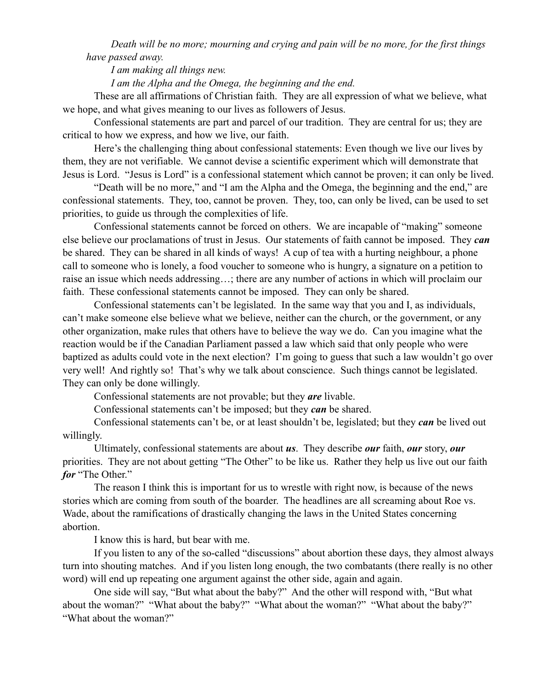*Death will be no more; mourning and crying and pain will be no more, for the first things have passed away.*

*I am making all things new.*

*I am the Alpha and the Omega, the beginning and the end.*

These are all affirmations of Christian faith. They are all expression of what we believe, what we hope, and what gives meaning to our lives as followers of Jesus.

Confessional statements are part and parcel of our tradition. They are central for us; they are critical to how we express, and how we live, our faith.

Here's the challenging thing about confessional statements: Even though we live our lives by them, they are not verifiable. We cannot devise a scientific experiment which will demonstrate that Jesus is Lord. "Jesus is Lord" is a confessional statement which cannot be proven; it can only be lived.

"Death will be no more," and "I am the Alpha and the Omega, the beginning and the end," are confessional statements. They, too, cannot be proven. They, too, can only be lived, can be used to set priorities, to guide us through the complexities of life.

Confessional statements cannot be forced on others. We are incapable of "making" someone else believe our proclamations of trust in Jesus. Our statements of faith cannot be imposed. They *can* be shared. They can be shared in all kinds of ways! A cup of tea with a hurting neighbour, a phone call to someone who is lonely, a food voucher to someone who is hungry, a signature on a petition to raise an issue which needs addressing…; there are any number of actions in which will proclaim our faith. These confessional statements cannot be imposed. They can only be shared.

Confessional statements can't be legislated. In the same way that you and I, as individuals, can't make someone else believe what we believe, neither can the church, or the government, or any other organization, make rules that others have to believe the way we do. Can you imagine what the reaction would be if the Canadian Parliament passed a law which said that only people who were baptized as adults could vote in the next election? I'm going to guess that such a law wouldn't go over very well! And rightly so! That's why we talk about conscience. Such things cannot be legislated. They can only be done willingly.

Confessional statements are not provable; but they *are* livable.

Confessional statements can't be imposed; but they *can* be shared.

Confessional statements can't be, or at least shouldn't be, legislated; but they *can* be lived out willingly.

Ultimately, confessional statements are about *us*. They describe *our* faith, *our* story, *our* priorities. They are not about getting "The Other" to be like us. Rather they help us live out our faith *for* "The Other."

The reason I think this is important for us to wrestle with right now, is because of the news stories which are coming from south of the boarder. The headlines are all screaming about Roe vs. Wade, about the ramifications of drastically changing the laws in the United States concerning abortion.

I know this is hard, but bear with me.

If you listen to any of the so-called "discussions" about abortion these days, they almost always turn into shouting matches. And if you listen long enough, the two combatants (there really is no other word) will end up repeating one argument against the other side, again and again.

One side will say, "But what about the baby?" And the other will respond with, "But what about the woman?" "What about the baby?" "What about the woman?" "What about the baby?" "What about the woman?"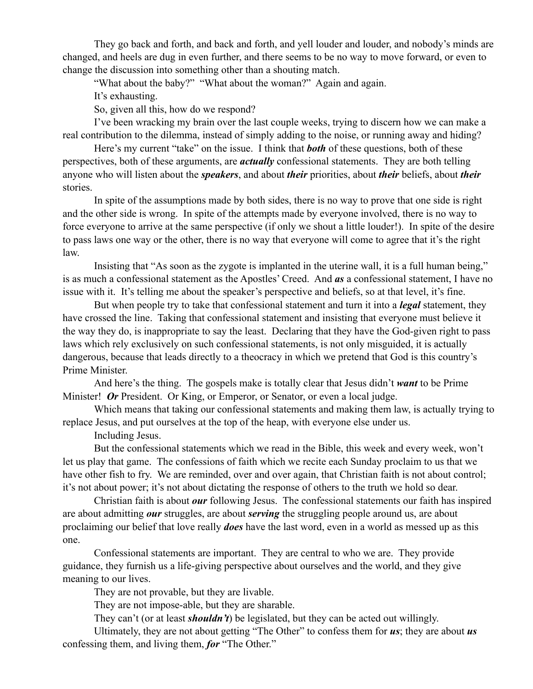They go back and forth, and back and forth, and yell louder and louder, and nobody's minds are changed, and heels are dug in even further, and there seems to be no way to move forward, or even to change the discussion into something other than a shouting match.

"What about the baby?" "What about the woman?" Again and again.

It's exhausting.

So, given all this, how do we respond?

I've been wracking my brain over the last couple weeks, trying to discern how we can make a real contribution to the dilemma, instead of simply adding to the noise, or running away and hiding?

Here's my current "take" on the issue. I think that *both* of these questions, both of these perspectives, both of these arguments, are *actually* confessional statements. They are both telling anyone who will listen about the *speakers*, and about *their* priorities, about *their* beliefs, about *their* stories.

In spite of the assumptions made by both sides, there is no way to prove that one side is right and the other side is wrong. In spite of the attempts made by everyone involved, there is no way to force everyone to arrive at the same perspective (if only we shout a little louder!). In spite of the desire to pass laws one way or the other, there is no way that everyone will come to agree that it's the right law.

Insisting that "As soon as the zygote is implanted in the uterine wall, it is a full human being," is as much a confessional statement as the Apostles' Creed. And *as* a confessional statement, I have no issue with it. It's telling me about the speaker's perspective and beliefs, so at that level, it's fine.

But when people try to take that confessional statement and turn it into a *legal* statement, they have crossed the line. Taking that confessional statement and insisting that everyone must believe it the way they do, is inappropriate to say the least. Declaring that they have the God-given right to pass laws which rely exclusively on such confessional statements, is not only misguided, it is actually dangerous, because that leads directly to a theocracy in which we pretend that God is this country's Prime Minister.

And here's the thing. The gospels make is totally clear that Jesus didn't *want* to be Prime Minister! Or President. Or King, or Emperor, or Senator, or even a local judge.

Which means that taking our confessional statements and making them law, is actually trying to replace Jesus, and put ourselves at the top of the heap, with everyone else under us.

Including Jesus.

But the confessional statements which we read in the Bible, this week and every week, won't let us play that game. The confessions of faith which we recite each Sunday proclaim to us that we have other fish to fry. We are reminded, over and over again, that Christian faith is not about control; it's not about power; it's not about dictating the response of others to the truth we hold so dear.

Christian faith is about *our* following Jesus. The confessional statements our faith has inspired are about admitting *our* struggles, are about *serving* the struggling people around us, are about proclaiming our belief that love really *does* have the last word, even in a world as messed up as this one.

Confessional statements are important. They are central to who we are. They provide guidance, they furnish us a life-giving perspective about ourselves and the world, and they give meaning to our lives.

They are not provable, but they are livable.

They are not impose-able, but they are sharable.

They can't (or at least *shouldn't*) be legislated, but they can be acted out willingly.

Ultimately, they are not about getting "The Other" to confess them for *us*; they are about *us* confessing them, and living them, *for* "The Other."